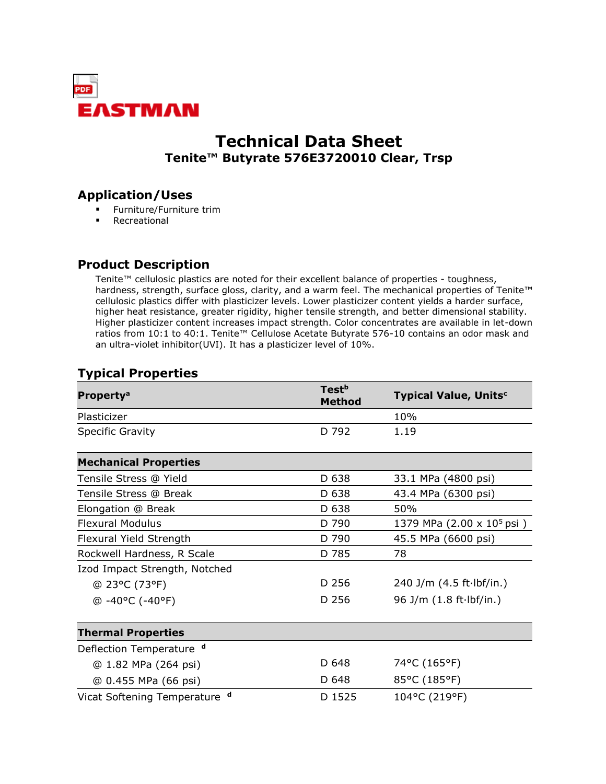

# **Technical Data Sheet Tenite™ Butyrate 576E3720010 Clear, Trsp**

# **Application/Uses**

- Furniture/Furniture trim
- Recreational

# **Product Description**

Tenite™ cellulosic plastics are noted for their excellent balance of properties - toughness, hardness, strength, surface gloss, clarity, and a warm feel. The mechanical properties of Tenite™ cellulosic plastics differ with plasticizer levels. Lower plasticizer content yields a harder surface, higher heat resistance, greater rigidity, higher tensile strength, and better dimensional stability. Higher plasticizer content increases impact strength. Color concentrates are available in let-down ratios from 10:1 to 40:1. Tenite™ Cellulose Acetate Butyrate 576-10 contains an odor mask and an ultra-violet inhibitor(UVI). It has a plasticizer level of 10%.

# **Typical Properties**

| <b>Property<sup>a</sup></b>   | Test <sup>b</sup><br><b>Method</b> | <b>Typical Value, Units<sup>c</sup></b> |
|-------------------------------|------------------------------------|-----------------------------------------|
| Plasticizer                   |                                    | 10%                                     |
| <b>Specific Gravity</b>       | D 792                              | 1.19                                    |
| <b>Mechanical Properties</b>  |                                    |                                         |
| Tensile Stress @ Yield        | D 638                              | 33.1 MPa (4800 psi)                     |
| Tensile Stress @ Break        | D 638                              | 43.4 MPa (6300 psi)                     |
| Elongation @ Break            | D 638                              | 50%                                     |
| <b>Flexural Modulus</b>       | D 790                              | 1379 MPa (2.00 x 10 <sup>5</sup> psi)   |
| Flexural Yield Strength       | D 790                              | 45.5 MPa (6600 psi)                     |
| Rockwell Hardness, R Scale    | D 785                              | 78                                      |
| Izod Impact Strength, Notched |                                    |                                         |
| @ 23°C (73°F)                 | D 256                              | 240 J/m $(4.5 ft·lbf/in.)$              |
| $@ -40°C (-40°F)$             | D 256                              | 96 J/m $(1.8 ft·lbf/in.)$               |
| <b>Thermal Properties</b>     |                                    |                                         |
| Deflection Temperature d      |                                    |                                         |
| @ 1.82 MPa (264 psi)          | D 648                              | 74°C (165°F)                            |
| @ 0.455 MPa (66 psi)          | D 648                              | 85°C (185°F)                            |
| Vicat Softening Temperature d | D 1525                             | 104°C (219°F)                           |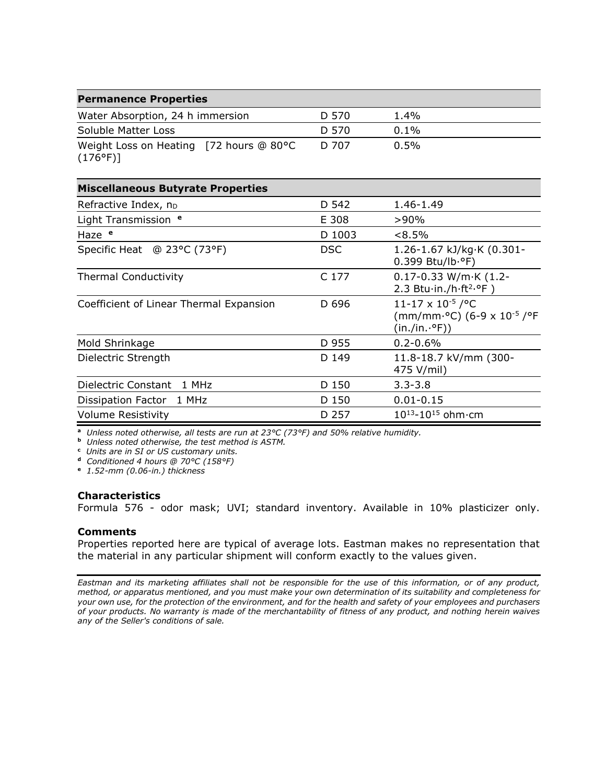| Water Absorption, 24 h immersion                             | D 570 | $1.4\%$ |  |
|--------------------------------------------------------------|-------|---------|--|
| Soluble Matter Loss                                          | D 570 | $0.1\%$ |  |
| Weight Loss on Heating [72 hours @ 80°C<br>$(176^{\circ}F)]$ | D 707 | $0.5\%$ |  |

| <b>Miscellaneous Butyrate Properties</b> |        |                                                                                                                            |
|------------------------------------------|--------|----------------------------------------------------------------------------------------------------------------------------|
| Refractive Index, n <sub>D</sub>         | D 542  | 1.46-1.49                                                                                                                  |
| Light Transmission <sup>e</sup>          | E 308  | $>90\%$                                                                                                                    |
| Haze <sup>e</sup>                        | D 1003 | $< 8.5\%$                                                                                                                  |
| Specific Heat @ 23°C (73°F)              | DSC.   | 1.26-1.67 kJ/kg·K $(0.301 -$<br>0.399 Btu/lb.ºF)                                                                           |
| <b>Thermal Conductivity</b>              | C 177  | $0.17 - 0.33$ W/m $\cdot$ K (1.2-<br>2.3 Btu $\cdot$ in./h $\cdot$ ft <sup>2</sup> $\cdot$ °F)                             |
| Coefficient of Linear Thermal Expansion  | D 696  | $11 - 17 \times 10^{-5}$ / °C<br>(mm/mm <sup>.o</sup> C) (6-9 x 10 <sup>-5</sup> / <sup>o</sup> F<br>$(in./in.^{\circ}F))$ |
| Mold Shrinkage                           | D 955  | $0.2 - 0.6%$                                                                                                               |
| Dielectric Strength                      | D 149  | 11.8-18.7 kV/mm (300-<br>475 V/mil)                                                                                        |
| Dielectric Constant<br>1 MHz             | D 150  | $3.3 - 3.8$                                                                                                                |
| 1 MHz<br>Dissipation Factor              | D 150  | $0.01 - 0.15$                                                                                                              |
| <b>Volume Resistivity</b>                | D 257  | $10^{13} - 10^{15}$ ohm $\cdot$ cm                                                                                         |

**a** *Unless noted otherwise, all tests are run at 23°C (73°F) and 50% relative humidity.*

**b** *Unless noted otherwise, the test method is ASTM.*

**c** *Units are in SI or US customary units.*

**d** *Conditioned 4 hours @ 70°C (158°F)*

**e** *1.52-mm (0.06-in.) thickness*

#### **Characteristics**

Formula 576 - odor mask; UVI; standard inventory. Available in 10% plasticizer only.

#### **Comments**

Properties reported here are typical of average lots. Eastman makes no representation that the material in any particular shipment will conform exactly to the values given.

*Eastman and its marketing affiliates shall not be responsible for the use of this information, or of any product, method, or apparatus mentioned, and you must make your own determination of its suitability and completeness for your own use, for the protection of the environment, and for the health and safety of your employees and purchasers of your products. No warranty is made of the merchantability of fitness of any product, and nothing herein waives any of the Seller's conditions of sale.*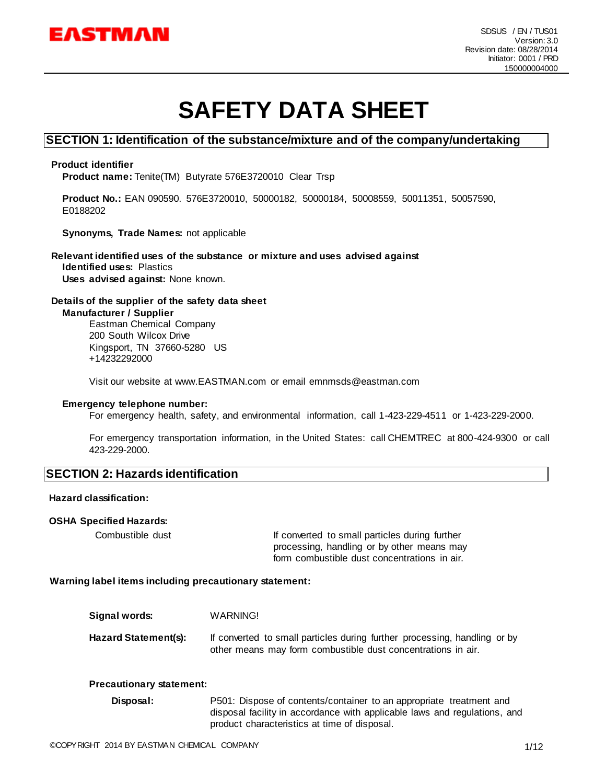

# **SAFETY DATA SHEET**

#### **SECTION 1: Identification of the substance/mixture and of the company/undertaking**

#### **Product identifier**

**Product name:** Tenite(TM) Butyrate 576E3720010 Clear Trsp

**Product No.:** EAN 090590. 576E3720010, 50000182, 50000184, 50008559, 50011351, 50057590, E0188202

**Synonyms, Trade Names:** not applicable

**Relevant identified uses of the substance or mixture and uses advised against Identified uses:** Plastics **Uses advised against:** None known.

#### **Details of the supplier of the safety data sheet Manufacturer / Supplier**

Eastman Chemical Company 200 South Wilcox Drive Kingsport, TN 37660-5280 US +14232292000

Visit our website at www.EASTMAN.com or email emnmsds@eastman.com

#### **Emergency telephone number:**

For emergency health, safety, and environmental information, call 1-423-229-4511 or 1-423-229-2000.

For emergency transportation information, in the United States: call CHEMTREC at 800-424-9300 or call 423-229-2000.

#### **SECTION 2: Hazards identification**

#### **Hazard classification:**

#### **OSHA Specified Hazards:**

Combustible dust If converted to small particles during further processing, handling or by other means may form combustible dust concentrations in air.

#### **Warning label items including precautionary statement:**

| Signal words:        | WARNING!                                                                                                                                  |
|----------------------|-------------------------------------------------------------------------------------------------------------------------------------------|
| Hazard Statement(s): | If converted to small particles during further processing, handling or by<br>other means may form combustible dust concentrations in air. |

#### **Precautionary statement:**

**Disposal:** P501: Dispose of contents/container to an appropriate treatment and disposal facility in accordance with applicable laws and regulations, and product characteristics at time of disposal.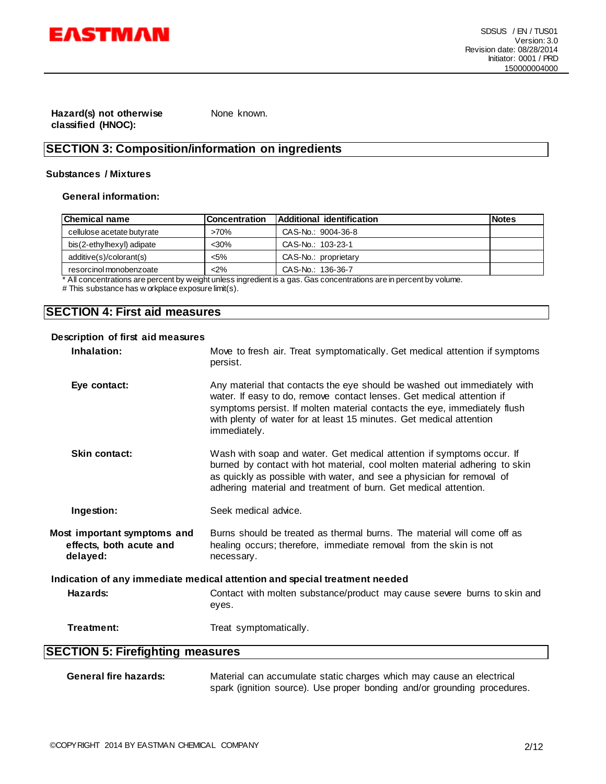

**Hazard(s) not otherwise classified (HNOC):**

None known.

# **SECTION 3: Composition/information on ingredients**

#### **Substances / Mixtures**

#### **General information:**

| <b>Chemical name</b>       | <b>Concentration</b> | <b>Additional identification</b> | <b>Notes</b> |
|----------------------------|----------------------|----------------------------------|--------------|
| cellulose acetate butyrate | $>70\%$              | CAS-No.: 9004-36-8               |              |
| bis(2-ethylhexyl) adipate  | $30%$                | CAS-No.: 103-23-1                |              |
| additive(s)/colorant(s)    | $5\%$                | CAS-No.: proprietary             |              |
| resorcinol monobenzoate    | $2\%$                | CAS-No.: 136-36-7                |              |

\* All concentrations are percent by weight unless ingredient is a gas. Gas concentrations are in percent by volume.

# This substance has w orkplace exposure limit(s).

### **SECTION 4: First aid measures**

#### **Description of first aid measures**

| Inhalation:                                                                | Move to fresh air. Treat symptomatically. Get medical attention if symptoms<br>persist.                                                                                                                                                                                                                              |  |
|----------------------------------------------------------------------------|----------------------------------------------------------------------------------------------------------------------------------------------------------------------------------------------------------------------------------------------------------------------------------------------------------------------|--|
| Eye contact:                                                               | Any material that contacts the eye should be washed out immediately with<br>water. If easy to do, remove contact lenses. Get medical attention if<br>symptoms persist. If molten material contacts the eye, immediately flush<br>with plenty of water for at least 15 minutes. Get medical attention<br>immediately. |  |
| <b>Skin contact:</b>                                                       | Wash with soap and water. Get medical attention if symptoms occur. If<br>burned by contact with hot material, cool molten material adhering to skin<br>as quickly as possible with water, and see a physician for removal of<br>adhering material and treatment of burn. Get medical attention.                      |  |
| Ingestion:                                                                 | Seek medical advice.                                                                                                                                                                                                                                                                                                 |  |
| Most important symptoms and<br>effects, both acute and<br>delayed:         | Burns should be treated as thermal burns. The material will come off as<br>healing occurs; therefore, immediate removal from the skin is not<br>necessary.                                                                                                                                                           |  |
| Indication of any immediate medical attention and special treatment needed |                                                                                                                                                                                                                                                                                                                      |  |
| Hazards:                                                                   | Contact with molten substance/product may cause severe burns to skin and<br>eyes.                                                                                                                                                                                                                                    |  |
| Treatment:                                                                 | Treat symptomatically.                                                                                                                                                                                                                                                                                               |  |
| <b>SECTION 5: Firefighting measures</b>                                    |                                                                                                                                                                                                                                                                                                                      |  |
|                                                                            |                                                                                                                                                                                                                                                                                                                      |  |

| General fire hazards: | Material can accumulate static charges which may cause an electrical     |
|-----------------------|--------------------------------------------------------------------------|
|                       | spark (ignition source). Use proper bonding and/or grounding procedures. |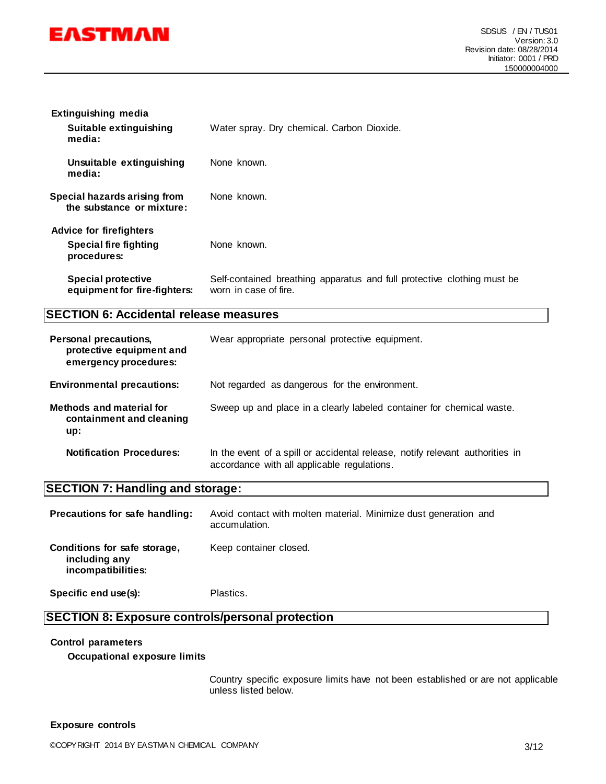

| <b>Extinguishing media</b>                                |                                                                                                  |
|-----------------------------------------------------------|--------------------------------------------------------------------------------------------------|
| Suitable extinguishing<br>media:                          | Water spray. Dry chemical. Carbon Dioxide.                                                       |
| Unsuitable extinguishing<br>media:                        | None known.                                                                                      |
| Special hazards arising from<br>the substance or mixture: | None known.                                                                                      |
| <b>Advice for firefighters</b>                            |                                                                                                  |
| <b>Special fire fighting</b><br>procedures:               | None known.                                                                                      |
| <b>Special protective</b><br>equipment for fire-fighters: | Self-contained breathing apparatus and full protective clothing must be<br>worn in case of fire. |

# **SECTION 6: Accidental release measures**

| <b>Personal precautions,</b><br>protective equipment and<br>emergency procedures: | Wear appropriate personal protective equipment.                                                                              |
|-----------------------------------------------------------------------------------|------------------------------------------------------------------------------------------------------------------------------|
| <b>Environmental precautions:</b>                                                 | Not regarded as dangerous for the environment.                                                                               |
| <b>Methods and material for</b><br>containment and cleaning<br>up:                | Sweep up and place in a clearly labeled container for chemical waste.                                                        |
| <b>Notification Procedures:</b>                                                   | In the event of a spill or accidental release, notify relevant authorities in<br>accordance with all applicable regulations. |

# **SECTION 7: Handling and storage:**

| Precautions for safe handling:                                      | Avoid contact with molten material. Minimize dust generation and<br>accumulation. |
|---------------------------------------------------------------------|-----------------------------------------------------------------------------------|
| Conditions for safe storage,<br>including any<br>incompatibilities: | Keep container closed.                                                            |
| Specific end use(s):                                                | Plastics.                                                                         |

# **SECTION 8: Exposure controls/personal protection**

# **Control parameters**

**Occupational exposure limits**

Country specific exposure limits have not been established or are not applicable unless listed below.

#### **Exposure controls**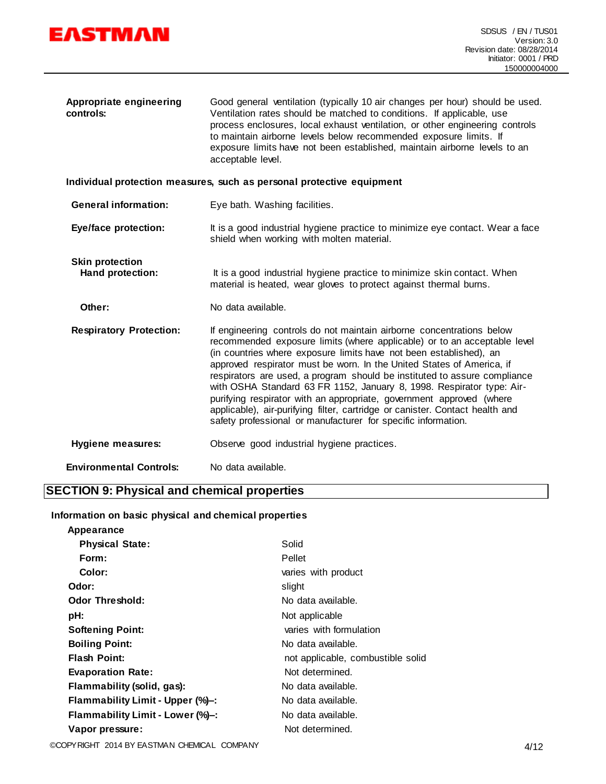

| Appropriate engineering<br>controls:       | Good general ventilation (typically 10 air changes per hour) should be used.<br>Ventilation rates should be matched to conditions. If applicable, use<br>process enclosures, local exhaust ventilation, or other engineering controls<br>to maintain airborne levels below recommended exposure limits. If<br>exposure limits have not been established, maintain airborne levels to an<br>acceptable level.                                                                                                                                                                                                                                                                    |
|--------------------------------------------|---------------------------------------------------------------------------------------------------------------------------------------------------------------------------------------------------------------------------------------------------------------------------------------------------------------------------------------------------------------------------------------------------------------------------------------------------------------------------------------------------------------------------------------------------------------------------------------------------------------------------------------------------------------------------------|
|                                            | Individual protection measures, such as personal protective equipment                                                                                                                                                                                                                                                                                                                                                                                                                                                                                                                                                                                                           |
| <b>General information:</b>                | Eye bath. Washing facilities.                                                                                                                                                                                                                                                                                                                                                                                                                                                                                                                                                                                                                                                   |
| Eye/face protection:                       | It is a good industrial hygiene practice to minimize eye contact. Wear a face<br>shield when working with molten material.                                                                                                                                                                                                                                                                                                                                                                                                                                                                                                                                                      |
| <b>Skin protection</b><br>Hand protection: | It is a good industrial hygiene practice to minimize skin contact. When<br>material is heated, wear gloves to protect against thermal burns.                                                                                                                                                                                                                                                                                                                                                                                                                                                                                                                                    |
| Other:                                     | No data available.                                                                                                                                                                                                                                                                                                                                                                                                                                                                                                                                                                                                                                                              |
| <b>Respiratory Protection:</b>             | If engineering controls do not maintain airborne concentrations below<br>recommended exposure limits (where applicable) or to an acceptable level<br>(in countries where exposure limits have not been established), an<br>approved respirator must be worn. In the United States of America, if<br>respirators are used, a program should be instituted to assure compliance<br>with OSHA Standard 63 FR 1152, January 8, 1998. Respirator type: Air-<br>purifying respirator with an appropriate, government approved (where<br>applicable), air-purifying filter, cartridge or canister. Contact health and<br>safety professional or manufacturer for specific information. |
| <b>Hygiene measures:</b>                   | Observe good industrial hygiene practices.                                                                                                                                                                                                                                                                                                                                                                                                                                                                                                                                                                                                                                      |
| <b>Environmental Controls:</b>             | No data available.                                                                                                                                                                                                                                                                                                                                                                                                                                                                                                                                                                                                                                                              |

# **SECTION 9: Physical and chemical properties**

#### **Information on basic physical and chemical properties**

| Appearance                       |                                   |
|----------------------------------|-----------------------------------|
| <b>Physical State:</b>           | Solid                             |
| Form:                            | Pellet                            |
| Color:                           | varies with product               |
| Odor:                            | slight                            |
| <b>Odor Threshold:</b>           | No data available.                |
| pH:                              | Not applicable                    |
| <b>Softening Point:</b>          | varies with formulation           |
| <b>Boiling Point:</b>            | No data available.                |
| <b>Flash Point:</b>              | not applicable, combustible solid |
| <b>Evaporation Rate:</b>         | Not determined.                   |
| Flammability (solid, gas):       | No data available.                |
| Flammability Limit - Upper (%)-: | No data available.                |
| Flammability Limit - Lower (%)-: | No data available.                |
| Vapor pressure:                  | Not determined.                   |
|                                  |                                   |

©COPYRIGHT 2014 BY EASTMAN CHEMICAL COMPANY 4/12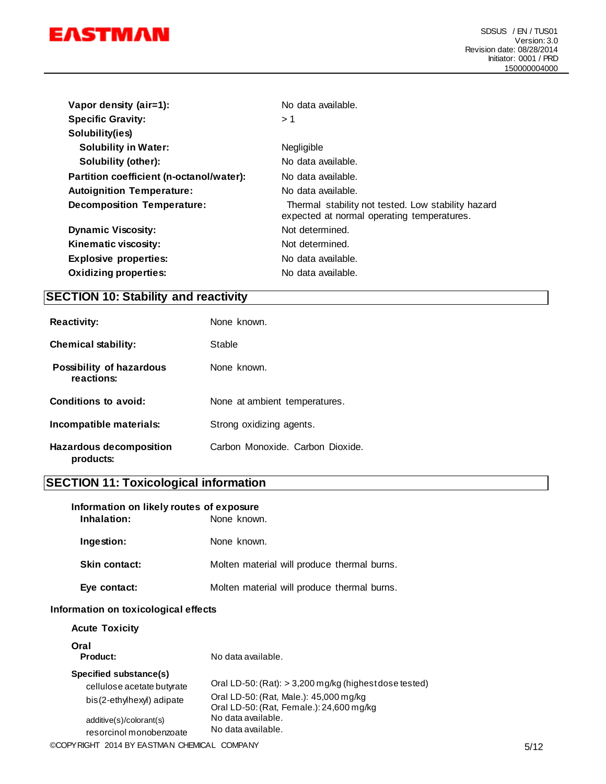

| Vapor density (air=1):                   | No data available.                                                                               |  |
|------------------------------------------|--------------------------------------------------------------------------------------------------|--|
| <b>Specific Gravity:</b>                 | > 1                                                                                              |  |
| Solubility(ies)                          |                                                                                                  |  |
| <b>Solubility in Water:</b>              | <b>Negligible</b>                                                                                |  |
| Solubility (other):                      | No data available.                                                                               |  |
| Partition coefficient (n-octanol/water): | No data available.                                                                               |  |
| <b>Autoignition Temperature:</b>         | No data available.                                                                               |  |
| <b>Decomposition Temperature:</b>        | Thermal stability not tested. Low stability hazard<br>expected at normal operating temperatures. |  |
| <b>Dynamic Viscosity:</b>                | Not determined.                                                                                  |  |
| Kinematic viscosity:                     | Not determined.                                                                                  |  |
| <b>Explosive properties:</b>             | No data available.                                                                               |  |
| <b>Oxidizing properties:</b>             | No data available.                                                                               |  |

# **SECTION 10: Stability and reactivity**

| <b>Reactivity:</b>                     | None known.                      |
|----------------------------------------|----------------------------------|
| <b>Chemical stability:</b>             | Stable                           |
| Possibility of hazardous<br>reactions: | None known.                      |
| Conditions to avoid:                   | None at ambient temperatures.    |
| Incompatible materials:                | Strong oxidizing agents.         |
| Hazardous decomposition<br>products:   | Carbon Monoxide. Carbon Dioxide. |

# **SECTION 11: Toxicological information**

| Information on likely routes of exposure<br>Inhalation:                                                                                 | None known.                                                                                                                                                                                |      |
|-----------------------------------------------------------------------------------------------------------------------------------------|--------------------------------------------------------------------------------------------------------------------------------------------------------------------------------------------|------|
| Ingestion:                                                                                                                              | None known.                                                                                                                                                                                |      |
| <b>Skin contact:</b>                                                                                                                    | Molten material will produce thermal burns.                                                                                                                                                |      |
| Eye contact:                                                                                                                            | Molten material will produce thermal burns.                                                                                                                                                |      |
| Information on toxicological effects                                                                                                    |                                                                                                                                                                                            |      |
| <b>Acute Toxicity</b>                                                                                                                   |                                                                                                                                                                                            |      |
| Oral<br><b>Product:</b>                                                                                                                 | No data available.                                                                                                                                                                         |      |
| Specified substance(s)<br>cellulose acetate butyrate<br>bis(2-ethylhexyl) adipate<br>additive(s)/colorant(s)<br>resorcinol monobenzoate | Oral LD-50: $(Rat):$ > 3,200 mg/kg (highest dose tested)<br>Oral LD-50: (Rat, Male.): 45,000 mg/kg<br>Oral LD-50: (Rat, Female.): 24,600 mg/kg<br>No data available.<br>No data available. |      |
| ©COPYRIGHT 2014 BY EASTMAN CHEMICAL COMPANY                                                                                             |                                                                                                                                                                                            | 5/12 |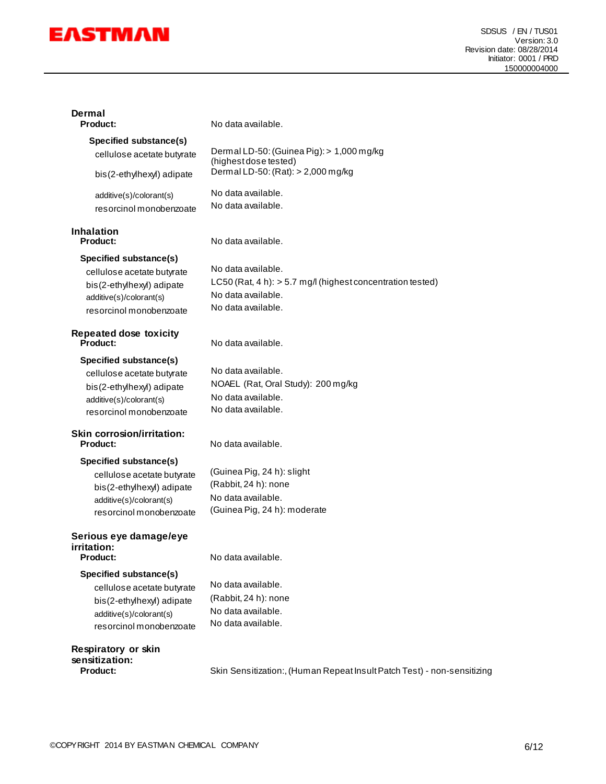

| Dermal<br><b>Product:</b>                                                                                                               | No data available.                                                                                                             |
|-----------------------------------------------------------------------------------------------------------------------------------------|--------------------------------------------------------------------------------------------------------------------------------|
| Specified substance(s)<br>cellulose acetate butyrate<br>bis(2-ethylhexyl) adipate                                                       | Dermal LD-50: (Guinea Pig): > 1,000 mg/kg<br>(highest dose tested)<br>Dermal LD-50: (Rat): > 2,000 mg/kg                       |
| additive(s)/colorant(s)<br>resorcinol monobenzoate                                                                                      | No data available.<br>No data available.                                                                                       |
| <b>Inhalation</b><br><b>Product:</b>                                                                                                    | No data available.                                                                                                             |
| Specified substance(s)<br>cellulose acetate butyrate<br>bis(2-ethylhexyl) adipate<br>additive(s)/colorant(s)<br>resorcinol monobenzoate | No data available.<br>LC50 (Rat, 4 h): $>$ 5.7 mg/l (highest concentration tested)<br>No data available.<br>No data available. |
| <b>Repeated dose toxicity</b><br><b>Product:</b>                                                                                        | No data available.                                                                                                             |
| Specified substance(s)<br>cellulose acetate butyrate<br>bis(2-ethylhexyl) adipate<br>additive(s)/colorant(s)<br>resorcinol monobenzoate | No data available.<br>NOAEL (Rat, Oral Study): 200 mg/kg<br>No data available.<br>No data available.                           |
| <b>Skin corrosion/irritation:</b><br><b>Product:</b>                                                                                    | No data available.                                                                                                             |
| Specified substance(s)<br>cellulose acetate butyrate<br>bis(2-ethylhexyl) adipate<br>additive(s)/colorant(s)<br>resorcinol monobenzoate | (Guinea Pig, 24 h): slight<br>(Rabbit, 24 h): none<br>No data available.<br>(Guinea Pig, 24 h): moderate                       |
| Serious eye damage/eye<br>irritation:<br><b>Product:</b>                                                                                | No data available.                                                                                                             |
| Specified substance(s)<br>cellulose acetate butyrate<br>bis(2-ethylhexyl) adipate<br>additive(s)/colorant(s)<br>resorcinol monobenzoate | No data available.<br>(Rabbit, 24 h): none<br>No data available.<br>No data available.                                         |
| Respiratory or skin<br>sensitization:<br>Product:                                                                                       | Skin Sensitization:, (Human Repeat Insult Patch Test) - non-sensitizing                                                        |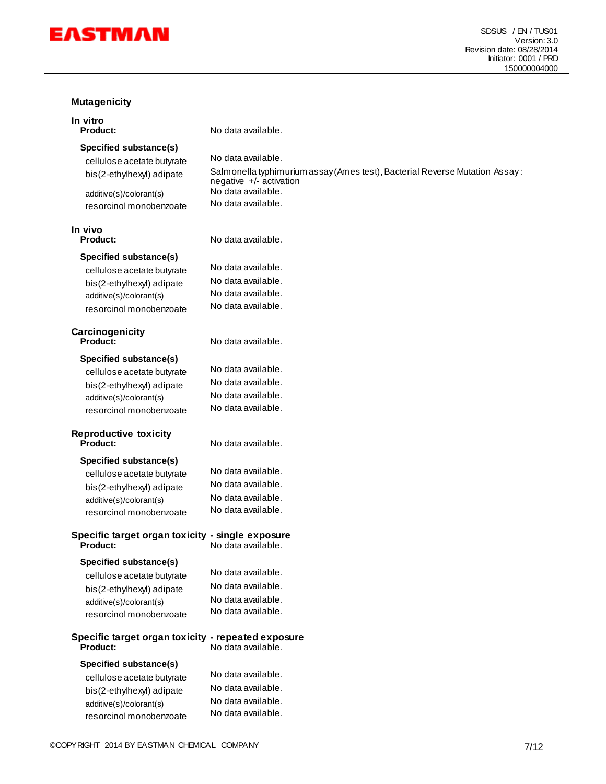

# **Mutagenicity**

| mulagemuny                                                     |                                                                                                        |
|----------------------------------------------------------------|--------------------------------------------------------------------------------------------------------|
| In vitro<br><b>Product:</b>                                    | No data available.                                                                                     |
| Specified substance(s)                                         |                                                                                                        |
| cellulose acetate butyrate                                     | No data available.                                                                                     |
| bis(2-ethylhexyl) adipate                                      | Salmonella typhimurium assay (Ames test), Bacterial Reverse Mutation Assay:<br>negative +/- activation |
| additive(s)/colorant(s)                                        | No data available.                                                                                     |
| resorcinol monobenzoate                                        | No data available.                                                                                     |
| In vivo<br><b>Product:</b>                                     | No data available.                                                                                     |
| Specified substance(s)                                         |                                                                                                        |
| cellulose acetate butyrate                                     | No data available.                                                                                     |
| bis(2-ethylhexyl) adipate                                      | No data available.                                                                                     |
| additive(s)/colorant(s)                                        | No data available.                                                                                     |
| resorcinol monobenzoate                                        | No data available.                                                                                     |
| Carcinogenicity<br><b>Product:</b>                             | No data available.                                                                                     |
| Specified substance(s)                                         |                                                                                                        |
| cellulose acetate butyrate                                     | No data available.                                                                                     |
| bis(2-ethylhexyl) adipate                                      | No data available.                                                                                     |
| additive(s)/colorant(s)                                        | No data available.                                                                                     |
| resorcinol monobenzoate                                        | No data available.                                                                                     |
| <b>Reproductive toxicity</b><br>Product:                       | No data available.                                                                                     |
| Specified substance(s)                                         |                                                                                                        |
| cellulose acetate butyrate                                     | No data available.                                                                                     |
| bis(2-ethylhexyl) adipate                                      | No data available.                                                                                     |
| additive(s)/colorant(s)                                        | No data available.                                                                                     |
| resorcinol monobenzoate                                        | No data available.                                                                                     |
| Specific target organ toxicity - single exposure<br>Product:   | No data available.                                                                                     |
| Specified substance(s)                                         |                                                                                                        |
| cellulose acetate butyrate                                     | No data available.                                                                                     |
| bis(2-ethylhexyl) adipate                                      | No data available.                                                                                     |
| additive(s)/colorant(s)                                        | No data available.                                                                                     |
| resorcinol monobenzoate                                        | No data available.                                                                                     |
| Specific target organ toxicity - repeated exposure<br>Product: | No data available.                                                                                     |
| <b>Specified substance(s)</b>                                  |                                                                                                        |
| cellulose acetate butyrate                                     | No data available.                                                                                     |
| bis(2-ethylhexyl) adipate                                      | No data available.                                                                                     |
| additive(s)/colorant(s)                                        | No data available.                                                                                     |
| resorcinol monobenzoate                                        | No data available.                                                                                     |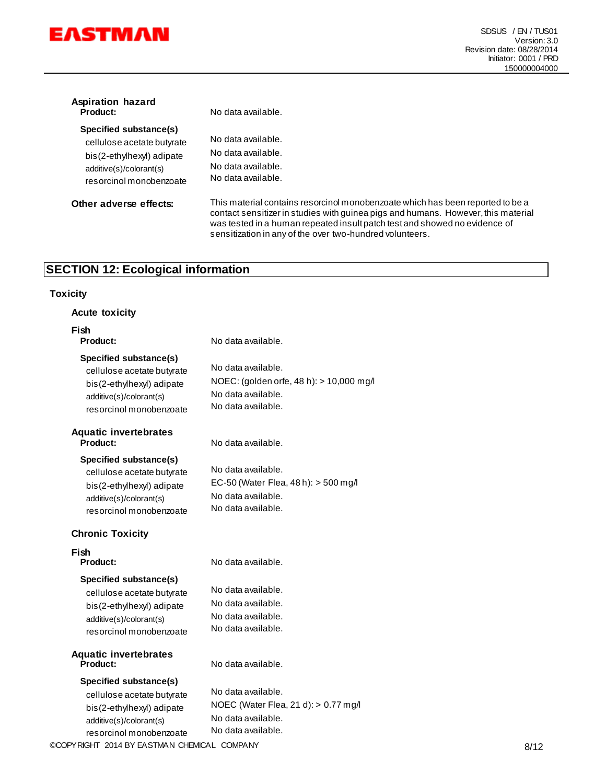

| Aspiration hazard<br><b>Product:</b>                                                                                                    | No data available.                                                                                                                                                                                                                                                                                            |
|-----------------------------------------------------------------------------------------------------------------------------------------|---------------------------------------------------------------------------------------------------------------------------------------------------------------------------------------------------------------------------------------------------------------------------------------------------------------|
| Specified substance(s)<br>cellulose acetate butyrate<br>bis(2-ethylhexyl) adipate<br>additive(s)/colorant(s)<br>resorcinol monobenzoate | No data available.<br>No data available.<br>No data available.<br>No data available.                                                                                                                                                                                                                          |
| Other adverse effects:                                                                                                                  | This material contains resorcinol monobenzoate which has been reported to be a<br>contact sensitizer in studies with guinea pigs and humans. However, this material<br>was tested in a human repeated insult patch test and showed no evidence of<br>sensitization in any of the over two-hundred volunteers. |

# **SECTION 12: Ecological information**

#### **Toxicity**

| <b>Acute toxicity</b>                                                                                                                   |                                                                                                            |
|-----------------------------------------------------------------------------------------------------------------------------------------|------------------------------------------------------------------------------------------------------------|
| Fish<br>Product:                                                                                                                        | No data available.                                                                                         |
| Specified substance(s)<br>cellulose acetate butyrate<br>bis(2-ethylhexyl) adipate<br>additive(s)/colorant(s)<br>resorcinol monobenzoate | No data available.<br>NOEC: (golden orfe, 48 h): > 10,000 mg/l<br>No data available.<br>No data available. |
| <b>Aquatic invertebrates</b><br>Product:                                                                                                | No data available.                                                                                         |
| Specified substance(s)<br>cellulose acetate butyrate<br>bis(2-ethylhexyl) adipate<br>additive(s)/colorant(s)<br>resorcinol monobenzoate | No data available.<br>EC-50 (Water Flea, 48 h): $>$ 500 mg/l<br>No data available.<br>No data available.   |
| <b>Chronic Toxicity</b>                                                                                                                 |                                                                                                            |
| Fish<br><b>Product:</b>                                                                                                                 | No data available.                                                                                         |
| Specified substance(s)<br>cellulose acetate butyrate<br>bis(2-ethylhexyl) adipate<br>additive(s)/colorant(s)<br>resorcinol monobenzoate | No data available.<br>No data available.<br>No data available.<br>No data available.                       |
| <b>Aquatic invertebrates</b><br>Product:                                                                                                | No data available.                                                                                         |
| Specified substance(s)<br>cellulose acetate butyrate<br>bis(2-ethylhexyl) adipate<br>additive(s)/colorant(s)<br>resorcinol monobenzoate | No data available.<br>NOEC (Water Flea, 21 d): $> 0.77$ mg/l<br>No data available.<br>No data available.   |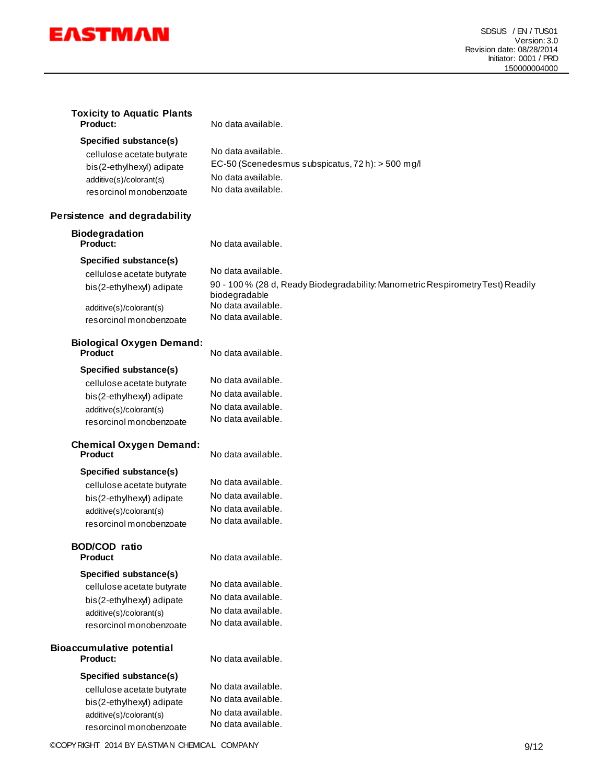

**Toxicity to Aquatic Plants**

| Product:                                           | No data available.                                                                               |
|----------------------------------------------------|--------------------------------------------------------------------------------------------------|
| Specified substance(s)                             |                                                                                                  |
| cellulose acetate butyrate                         | No data available.                                                                               |
| bis(2-ethylhexyl) adipate                          | EC-50 (Scenedesmus subspicatus, 72 h): > 500 mg/l                                                |
| additive(s)/colorant(s)                            | No data available.                                                                               |
| resorcinol monobenzoate                            | No data available.                                                                               |
| Persistence and degradability                      |                                                                                                  |
| <b>Biodegradation</b><br>Product:                  | No data available.                                                                               |
| Specified substance(s)                             |                                                                                                  |
| cellulose acetate butyrate                         | No data available.                                                                               |
| bis(2-ethylhexyl) adipate                          | 90 - 100 % (28 d, Ready Biodegradability: Manometric Respirometry Test) Readily<br>biodegradable |
| additive(s)/colorant(s)                            | No data available.                                                                               |
| resorcinol monobenzoate                            | No data available.                                                                               |
| <b>Biological Oxygen Demand:</b><br><b>Product</b> | No data available.                                                                               |
|                                                    |                                                                                                  |
| <b>Specified substance(s)</b>                      | No data available.                                                                               |
| cellulose acetate butyrate                         | No data available.                                                                               |
| bis(2-ethylhexyl) adipate                          | No data available.                                                                               |
| additive(s)/colorant(s)                            | No data available.                                                                               |
| resorcinol monobenzoate                            |                                                                                                  |
| <b>Chemical Oxygen Demand:</b>                     |                                                                                                  |
| <b>Product</b>                                     | No data available.                                                                               |
| <b>Specified substance(s)</b>                      |                                                                                                  |
| cellulose acetate butyrate                         | No data available.                                                                               |
| bis(2-ethylhexyl) adipate                          | No data available.                                                                               |
| additive(s)/colorant(s)                            | No data available.                                                                               |
| resorcinol monobenzoate                            | No data available.                                                                               |
| <b>BOD/COD</b> ratio                               |                                                                                                  |
| <b>Product</b>                                     | No data available.                                                                               |
| <b>Specified substance(s)</b>                      |                                                                                                  |
| cellulose acetate butyrate                         | No data available.                                                                               |
| bis(2-ethylhexyl) adipate                          | No data available.                                                                               |
| additive(s)/colorant(s)                            | No data available.                                                                               |
| resorcinol monobenzoate                            | No data available.                                                                               |
| <b>Bioaccumulative potential</b>                   |                                                                                                  |
| Product:                                           | No data available.                                                                               |
| Specified substance(s)                             |                                                                                                  |
| cellulose acetate butyrate                         | No data available.                                                                               |
| bis(2-ethylhexyl) adipate                          | No data available.                                                                               |
| additive(s)/colorant(s)                            | No data available.                                                                               |
| resorcinol monobenzoate                            | No data available.                                                                               |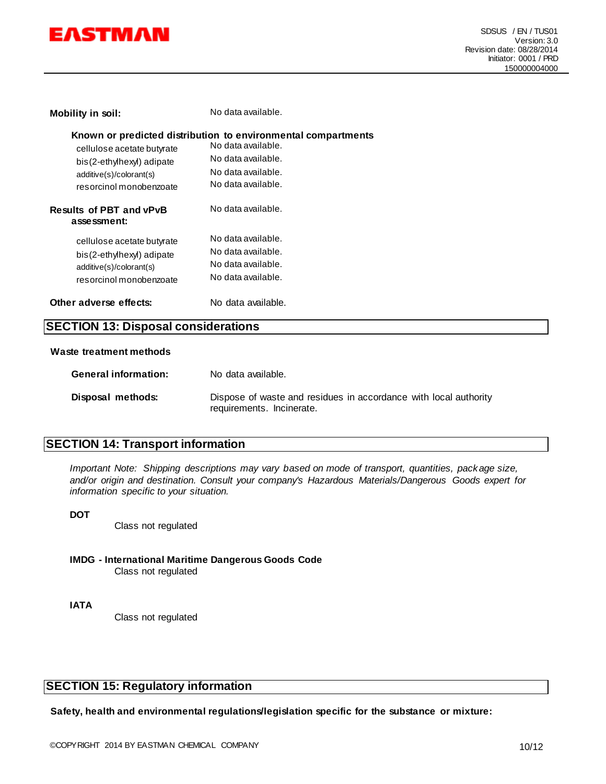

| Mobility in soil:                                                                                             | No data available.                                                                                                                                    |  |
|---------------------------------------------------------------------------------------------------------------|-------------------------------------------------------------------------------------------------------------------------------------------------------|--|
| cellulose acetate butyrate<br>bis(2-ethylhexyl) adipate<br>additive(s)/colorant(s)<br>resorcinol monobenzoate | Known or predicted distribution to environmental compartments<br>No data available.<br>No data available.<br>No data available.<br>No data available. |  |
| <b>Results of PBT and vPvB</b><br>assessment:                                                                 | No data available.                                                                                                                                    |  |
| cellulose acetate butyrate<br>bis(2-ethylhexyl) adipate<br>additive(s)/colorant(s)<br>resorcinol monobenzoate | No data available.<br>No data available.<br>No data available.<br>No data available.                                                                  |  |
| Other adverse effects:                                                                                        | No data available.                                                                                                                                    |  |
| <b>SECTION 13: Disposal considerations</b>                                                                    |                                                                                                                                                       |  |

#### **Waste treatment methods**

| <b>General information:</b> | No data available.                                                                            |
|-----------------------------|-----------------------------------------------------------------------------------------------|
| Disposal methods:           | Dispose of waste and residues in accordance with local authority<br>requirements. Incinerate. |

#### **SECTION 14: Transport information**

*Important Note: Shipping descriptions may vary based on mode of transport, quantities, package size, and/or origin and destination. Consult your company's Hazardous Materials/Dangerous Goods expert for information specific to your situation.*

#### **DOT**

Class not regulated

**IMDG - International Maritime Dangerous Goods Code** Class not regulated

**IATA**

Class not regulated

#### **SECTION 15: Regulatory information**

**Safety, health and environmental regulations/legislation specific for the substance or mixture:**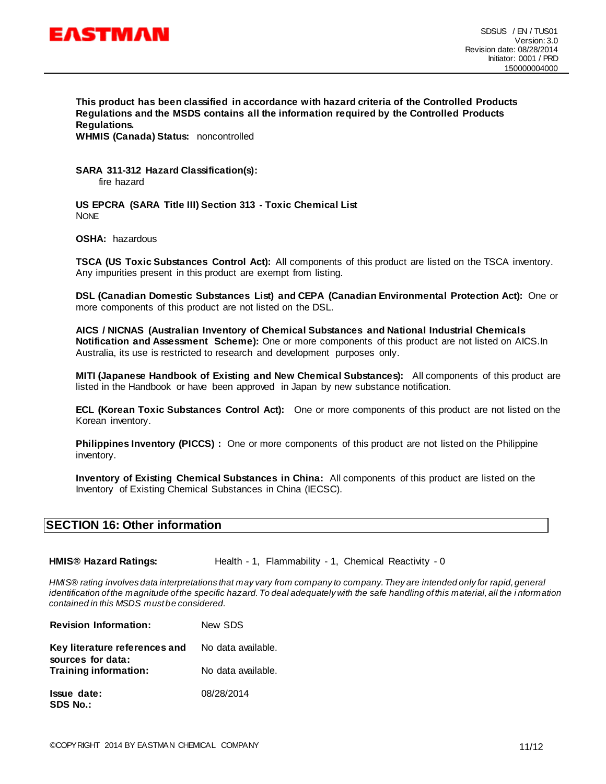

**This product has been classified in accordance with hazard criteria of the Controlled Products Regulations and the MSDS contains all the information required by the Controlled Products Regulations.**

**WHMIS (Canada) Status:** noncontrolled

**SARA 311-312 Hazard Classification(s):**  fire hazard

**US EPCRA (SARA Title III) Section 313 - Toxic Chemical List NONE** 

**OSHA:** hazardous

**TSCA (US Toxic Substances Control Act):** All components of this product are listed on the TSCA inventory. Any impurities present in this product are exempt from listing.

**DSL (Canadian Domestic Substances List) and CEPA (Canadian Environmental Protection Act):** One or more components of this product are not listed on the DSL.

**AICS / NICNAS (Australian Inventory of Chemical Substances and National Industrial Chemicals Notification and Assessment Scheme):** One or more components of this product are not listed on AICS.In Australia, its use is restricted to research and development purposes only.

**MITI (Japanese Handbook of Existing and New Chemical Substances):** All components of this product are listed in the Handbook or have been approved in Japan by new substance notification.

**ECL (Korean Toxic Substances Control Act):** One or more components of this product are not listed on the Korean inventory.

**Philippines Inventory (PICCS) :** One or more components of this product are not listed on the Philippine inventory.

**Inventory of Existing Chemical Substances in China:** All components of this product are listed on the Inventory of Existing Chemical Substances in China (IECSC).

#### **SECTION 16: Other information**

**HMIS® Hazard Ratings:** Health - 1, Flammability - 1, Chemical Reactivity - 0

*HMIS® rating involves data interpretations that may vary from company to company. They are intended only for rapid, general*  identification of the magnitude of the specific hazard. To deal adequately with the safe handling of this material, all the *i* nformation *contained in this MSDS must be considered.*

| <b>Revision Information:</b>                       | New SDS            |
|----------------------------------------------------|--------------------|
| Key literature references and<br>sources for data: | No data available. |
| <b>Training information:</b>                       | No data available. |
| <b>Issue date:</b><br><b>SDS No.:</b>              | 08/28/2014         |